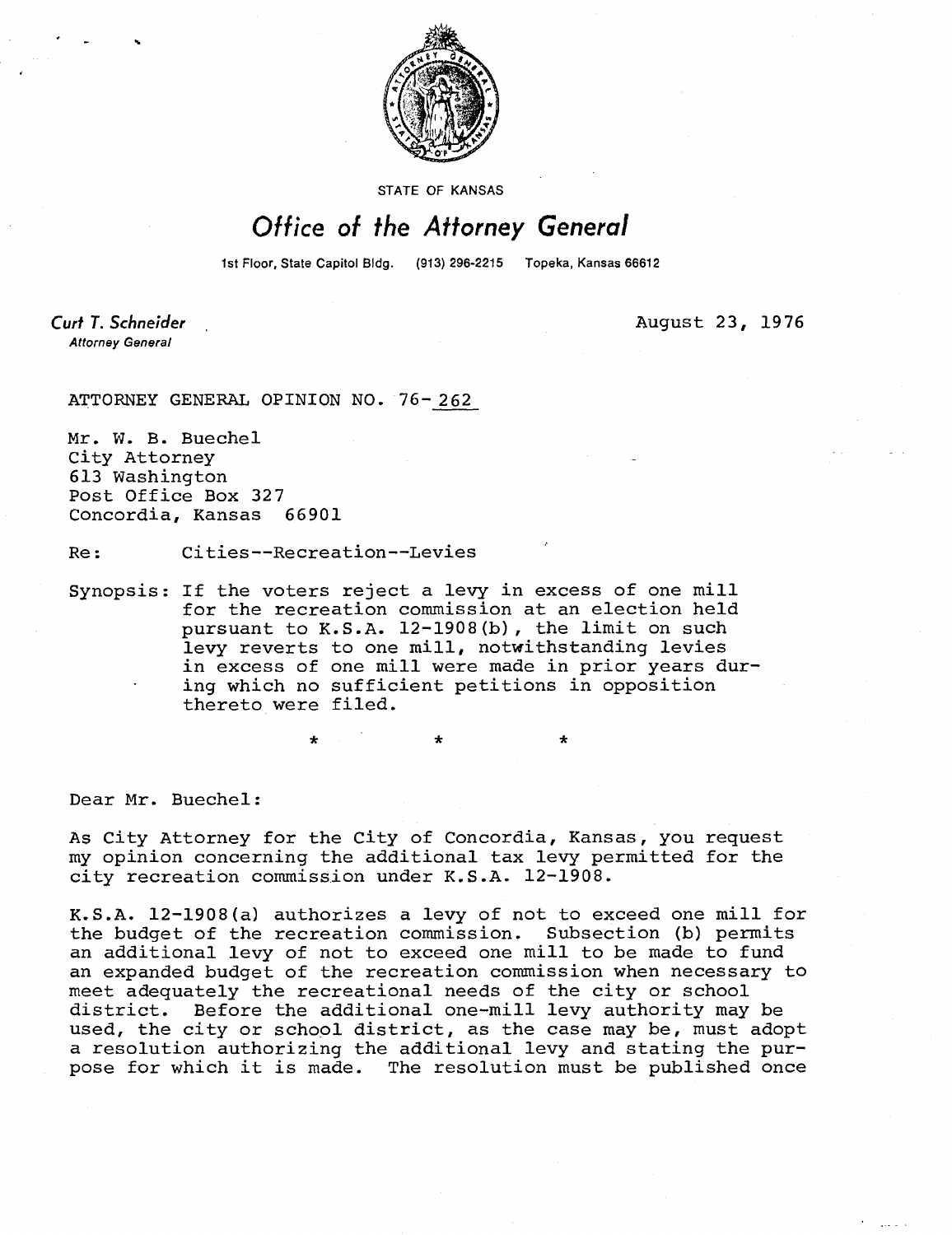

STATE OF KANSAS

## Office of the Attorney General

1st Floor, State Capitol Bldg. (913) 296-2215 Topeka, Kansas 66612

 $\ddot{\bullet}$ 

**Curt T. Schneider Attorney General** 

August 23, 1976

ATTORNEY GENERAL OPINION NO. 76-262

Mr. W. B. Buechel City Attorney 613 Washington Post Office Box 327 Concordia, Kansas 66901

Re: Cities--Recreation--Levies

\*

Synopsis: If the voters reject a levy in excess of one mill for the recreation commission at an election held pursuant to K.S.A. 12-1908(b), the limit on such levy reverts to one mill, notwithstanding levies in excess of one mill were made in prior years during which no sufficient petitions in opposition thereto were filed.

Dear Mr. Buechel:

As City Attorney for the City of Concordia, Kansas, you request my opinion concerning the additional tax levy permitted for the city recreation commission under K.S.A. 12-1908.

K.S.A. 12-1908(a) authorizes a levy of not to exceed one mill for the budget of the recreation commission. Subsection (b) permits an additional levy of not to exceed one mill to be made to fund an expanded budget of the recreation commission when necessary to meet adequately the recreational needs of the city or school district. Before the additional one-mill levy authority may be used, the city or school district, as the case may be, must adopt a resolution authorizing the additional levy and stating the purpose for which it is made. The resolution must be published once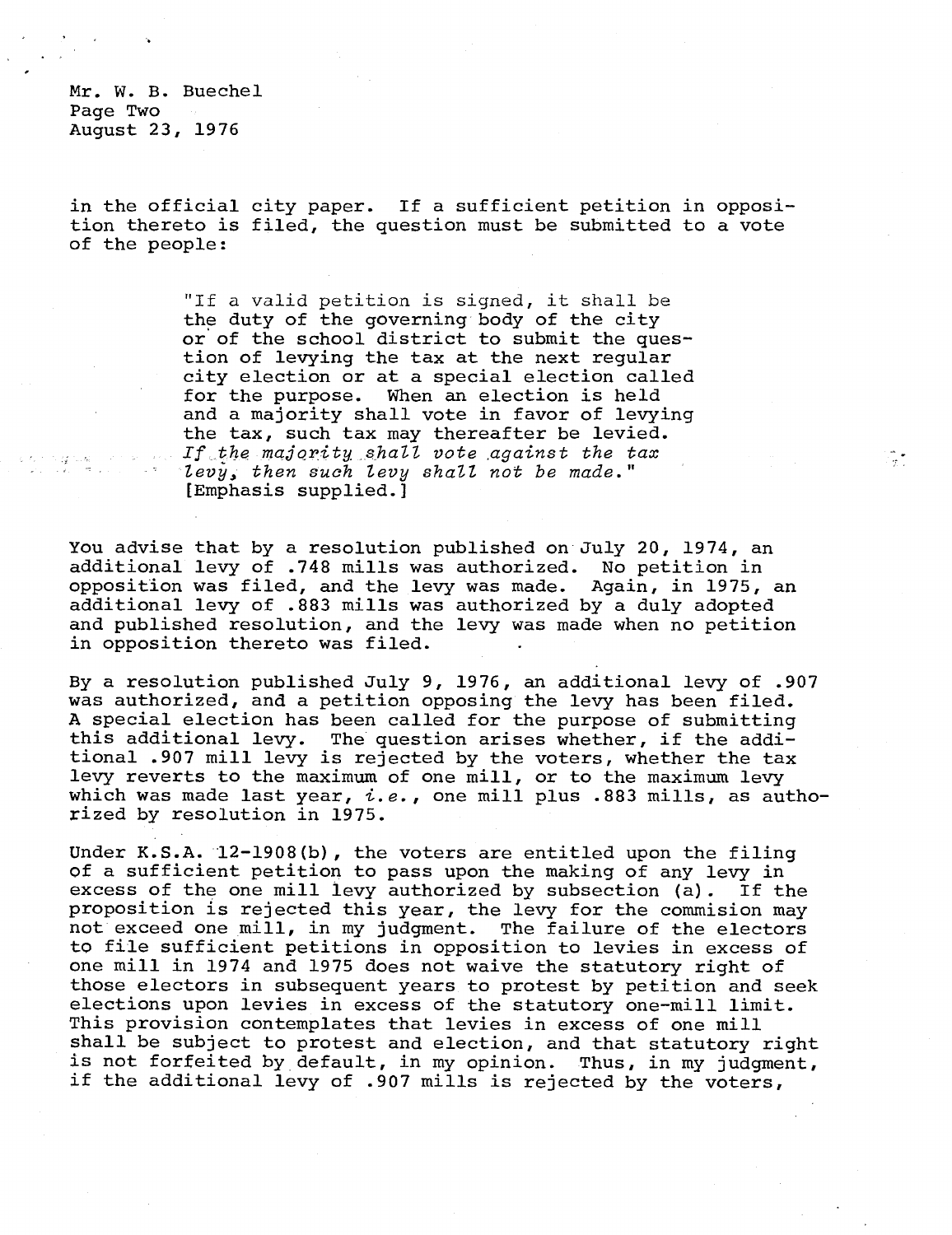Mr. W. B. Buechel Page Two August 23, 1976

in the official city paper. If a sufficient petition in opposition thereto is filed, the question must be submitted to a vote of the people:

> "If a valid petition is signed, it shall be the duty of the governing body of the city or of the school district to submit the question of levying the tax at the next regular city election or at a special election called for the purpose. When an election is held and a majority shall vote in favor of levying the tax, such tax may thereafter be levied. If the majority shall vote against the tax levy, then such levy shall not be made." [Emphasis supplied.]

You advise that by a resolution published on July 20, 1974, an additional levy of .748 mills was authorized. No petition in opposition was filed, and the levy was made. Again, in 1975, an additional levy of .883 mills was authorized by a duly adopted and published resolution, and the levy was made when no petition in opposition thereto was filed.

By a resolution published July 9, 1976, an additional levy of .907 was authorized, and a petition opposing the levy has been filed. A special election has been called for the purpose of submitting this additional levy. The question arises whether, if the additional .907 mill levy is rejected by the voters, whether the tax levy reverts to the maximum of one mill, or to the maximum levy which was made last year,  $i.e.$ , one mill plus .883 mills, as authorized by resolution in 1975.

Under K.S.A. 12-1908(b), the voters are entitled upon the filing of a sufficient petition to pass upon the making of any levy in excess of the one mill levy authorized by subsection (a). If the proposition is rejected this year, the levy for the commision may not exceed one mill, in my judgment. The failure of the electors to file sufficient petitions in opposition to levies in excess of one mill in 1974 and 1975 does not waive the statutory right of those electors in subsequent years to protest by petition and seek elections upon levies in excess of the statutory one-mill limit. This provision contemplates that levies in excess of one mill shall be subject to protest and election, and that statutory right is not forfeited by default, in my opinion. Thus, in my judgment, if the additional levy of .907 mills is rejected by the voters,